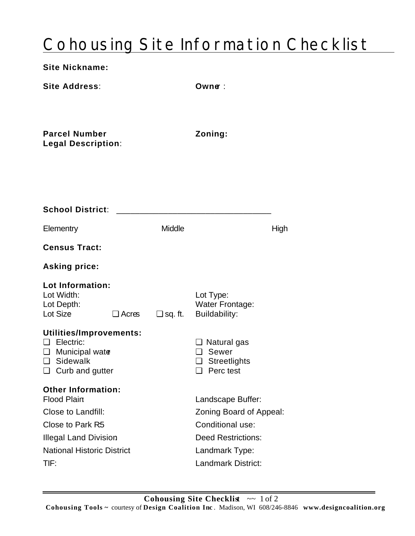## Cohousing Site Information Checklist

| <b>Site Nickname:</b>                                                                                                                                                  |                   |                                                                                                                                       |  |
|------------------------------------------------------------------------------------------------------------------------------------------------------------------------|-------------------|---------------------------------------------------------------------------------------------------------------------------------------|--|
| <b>Site Address:</b>                                                                                                                                                   |                   | Owne:                                                                                                                                 |  |
| <b>Parcel Number</b><br><b>Legal Description:</b>                                                                                                                      |                   | Zoning:                                                                                                                               |  |
| <b>School District:</b>                                                                                                                                                |                   |                                                                                                                                       |  |
| Elementry                                                                                                                                                              | Middle            | High                                                                                                                                  |  |
| <b>Census Tract:</b>                                                                                                                                                   |                   |                                                                                                                                       |  |
| <b>Asking price:</b>                                                                                                                                                   |                   |                                                                                                                                       |  |
| Lot Information:<br>Lot Width:<br>Lot Depth:<br>Lot Size<br>$\Box$ Acres                                                                                               | $\square$ sq. ft. | Lot Type:<br><b>Water Frontage:</b><br>Buildability:                                                                                  |  |
| Utilities/Improvements:<br><b>Electric:</b><br>$\Box$ Municipal water<br>$\square$ Sidewalk<br>$\Box$ Curb and gutter                                                  |                   | $\Box$ Natural gas<br>□ Sewer<br>$\Box$ Streetlights<br>$\Box$ Perc test                                                              |  |
| <b>Other Information:</b><br><b>Flood Plain</b><br>Close to Landfill:<br>Close to Park R5<br><b>Illegal Land Division</b><br><b>National Historic District</b><br>TIF: |                   | Landscape Buffer:<br>Zoning Board of Appeal:<br>Conditional use:<br><b>Deed Restrictions:</b><br>Landmark Type:<br>Landmark District: |  |